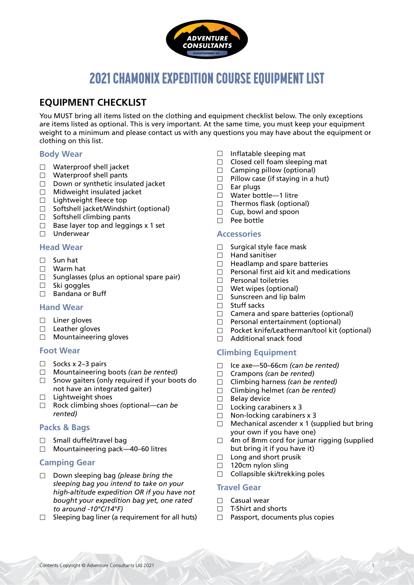

# 2021 CHAMONIX EXPEDITION COURSE EQUIPMENT LIST

# **EQUIPMENT CHECKLIST**

You MUST bring all items listed on the clothing and equipment checklist below. The only exceptions are items listed as optional. This is very important. At the same time, you must keep your equipment weight to a minimum and please contact us with any questions you may have about the equipment or clothing on this list.

### **Body Wear**

- □ Waterproof shell jacket
- Waterproof shell pants
- $\Box$  Down or synthetic insulated jacket
- $\Box$  Midweight insulated jacket
- $\Box$  Lightweight fleece top
- □ Softshell jacket/Windshirt (optional)
- $\Box$  Softshell climbing pants
- $\Box$  Base layer top and leggings x 1 set
- $\Box$  Underwear

#### **Head Wear**

- Sun hat
- Warm hat
- $\square$  Sunglasses (plus an optional spare pair)
- $\Box$  Ski goggles
- $\Box$  Bandana or Buff

### **Hand Wear**

- $\square$  Liner gloves
- $\Box$  Leather gloves
- □ Mountaineering gloves

#### **Foot Wear**

- $\Box$  Socks x 2–3 pairs
- Mountaineering boots *(can be rented)*
- $\Box$  Snow gaiters (only required if your boots do not have an integrated gaiter)
- $\Box$  Lightweight shoes
- Rock climbing shoes *(*optional*—can be rented)*

#### **Packs & Bags**

- $\Box$  Small duffel/travel bag
- $\Box$  Mountaineering pack—40–60 litres

### **Camping Gear**

- Down sleeping bag *(please bring the sleeping bag you intend to take on your high-altitude expedition OR if you have not bought your expedition bag yet, one rated to around -10°C/14°F)*
- $\Box$  Sleeping bag liner (a requirement for all huts)
- $\Box$  Inflatable sleeping mat
- $\Box$  Closed cell foam sleeping mat
- $\Box$  Camping pillow (optional)
- $\Box$  Pillow case (if staying in a hut)
- $\Box$  Ear plugs
- □ Water bottle-1 litre
- $\Box$  Thermos flask (optional)
- $\Box$  Cup, bowl and spoon
- $\Box$  Pee bottle

#### **Accessories**

- $\Box$  Surgical style face mask
- $\Box$  Hand sanitiser
- $\Box$  Headlamp and spare batteries
- $\Box$  Personal first aid kit and medications
- $\Box$  Personal toiletries
- □ Wet wipes (optional)
- $\square$  Sunscreen and lip balm
- □ Stuff sacks
- $\Box$  Camera and spare batteries (optional)
- $\Box$  Personal entertainment (optional)
- $\Box$  Pocket knife/Leatherman/tool kit (optional)
- □ Additional snack food

#### **Climbing Equipment**

- Ice axe—50–66cm *(can be rented)*
- Crampons *(can be rented)*
- Climbing harness *(can be rented)*
- Climbing helmet *(can be rented)*
- $\Box$  Belay device
- $\Box$  Locking carabiners x 3
- $\Box$  Non-locking carabiners x 3
- $\Box$  Mechanical ascender x 1 (supplied but bring your own if you have one)
- $\Box$  4m of 8mm cord for jumar rigging (supplied but bring it if you have it)
- $\Box$  Long and short prusik
- $\Box$  120cm nylon sling
- $\Box$  Collapsible ski/trekking poles

### **Travel Gear**

- $\Box$  Casual wear
- $\Box$  T-Shirt and shorts
- $\Box$  Passport, documents plus copies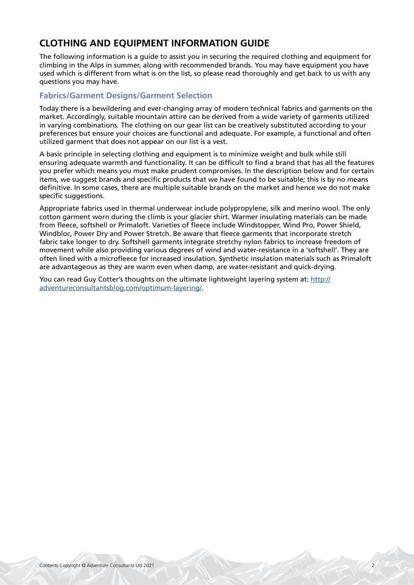# **CLOTHING AND EQUIPMENT INFORMATION GUIDE**

The following information is a guide to assist you in securing the required clothing and equipment for climbing in the Alps in summer, along with recommended brands. You may have equipment you have used which is different from what is on the list, so please read thoroughly and get back to us with any questions you may have.

### **Fabrics/Garment Designs/Garment Selection**

Today there is a bewildering and ever-changing array of modern technical fabrics and garments on the market. Accordingly, suitable mountain attire can be derived from a wide variety of garments utilized in varying combinations. The clothing on our gear list can be creatively substituted according to your preferences but ensure your choices are functional and adequate. For example, a functional and often utilized garment that does not appear on our list is a vest.

A basic principle in selecting clothing and equipment is to minimize weight and bulk while still ensuring adequate warmth and functionality. It can be difficult to find a brand that has all the features you prefer which means you must make prudent compromises. In the description below and for certain items, we suggest brands and specific products that we have found to be suitable; this is by no means definitive. In some cases, there are multiple suitable brands on the market and hence we do not make specific suggestions.

Appropriate fabrics used in thermal underwear include polypropylene, silk and merino wool. The only cotton garment worn during the climb is your glacier shirt. Warmer insulating materials can be made from fleece, softshell or Primaloft. Varieties of fleece include Windstopper, Wind Pro, Power Shield, Windbloc, Power Dry and Power Stretch. Be aware that fleece garments that incorporate stretch fabric take longer to dry. Softshell garments integrate stretchy nylon fabrics to increase freedom of movement while also providing various degrees of wind and water-resistance in a 'softshell'. They are often lined with a microfleece for increased insulation. Synthetic insulation materials such as Primaloft are advantageous as they are warm even when damp, are water-resistant and quick-drying.

You can read Guy Cotter's thoughts on the ultimate lightweight layering system at: [http://](http://adventureconsultantsblog.com/optimum-layering/) [adventureconsultantsblog.com/optimum-layering/](http://adventureconsultantsblog.com/optimum-layering/).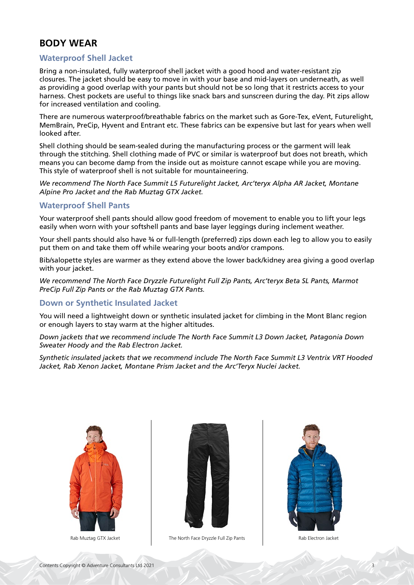# **BODY WEAR**

### **Waterproof Shell Jacket**

Bring a non-insulated, fully waterproof shell jacket with a good hood and water-resistant zip closures. The jacket should be easy to move in with your base and mid-layers on underneath, as well as providing a good overlap with your pants but should not be so long that it restricts access to your harness. Chest pockets are useful to things like snack bars and sunscreen during the day. Pit zips allow for increased ventilation and cooling.

There are numerous waterproof/breathable fabrics on the market such as Gore-Tex, eVent, Futurelight, MemBrain, PreCip, Hyvent and Entrant etc. These fabrics can be expensive but last for years when well looked after.

Shell clothing should be seam-sealed during the manufacturing process or the garment will leak through the stitching. Shell clothing made of PVC or similar is waterproof but does not breath, which means you can become damp from the inside out as moisture cannot escape while you are moving. This style of waterproof shell is not suitable for mountaineering.

*We recommend The North Face Summit L5 Futurelight Jacket, Arc'teryx Alpha AR Jacket, Montane Alpine Pro Jacket and the Rab Muztag GTX Jacket.*

#### **Waterproof Shell Pants**

Your waterproof shell pants should allow good freedom of movement to enable you to lift your legs easily when worn with your softshell pants and base layer leggings during inclement weather.

Your shell pants should also have 34 or full-length (preferred) zips down each leg to allow you to easily put them on and take them off while wearing your boots and/or crampons.

Bib/salopette styles are warmer as they extend above the lower back/kidney area giving a good overlap with your jacket.

*We recommend The North Face Dryzzle Futurelight Full Zip Pants, Arc'teryx Beta SL Pants, Marmot PreCip Full Zip Pants or the Rab Muztag GTX Pants.*

#### **Down or Synthetic Insulated Jacket**

You will need a lightweight down or synthetic insulated jacket for climbing in the Mont Blanc region or enough layers to stay warm at the higher altitudes.

*Down jackets that we recommend include The North Face Summit L3 Down Jacket, Patagonia Down Sweater Hoody and the Rab Electron Jacket.*

*Synthetic insulated jackets that we recommend include The North Face Summit L3 Ventrix VRT Hooded Jacket, Rab Xenon Jacket, Montane Prism Jacket and the Arc'Teryx Nuclei Jacket.*





Rab Muztag GTX Jacket The North Face Dryzzle Full Zip Pants The North Face Dryzzle Full Zip Pants Rab Electron Jacket

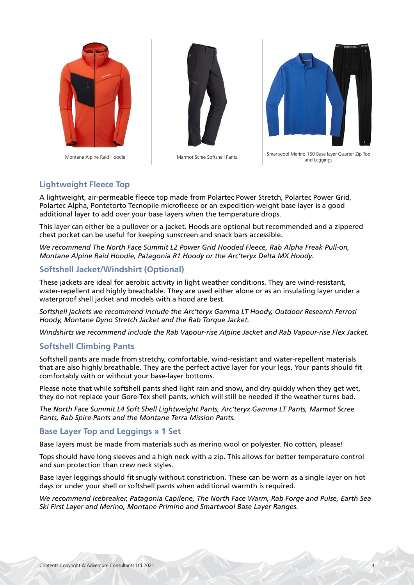





Montane Alpine Raid Hoodie Marmot Scree Softshell Pants Smartwool Merino 150 Base layer Quarter Zip Top and Leggings

#### **Lightweight Fleece Top**

A lightweight, air-permeable fleece top made from Polartec Power Stretch, Polartec Power Grid, Polartec Alpha, Pontetorto Tecnopile microfleece or an expedition-weight base layer is a good additional layer to add over your base layers when the temperature drops.

This layer can either be a pullover or a jacket. Hoods are optional but recommended and a zippered chest pocket can be useful for keeping sunscreen and snack bars accessible.

*We recommend The North Face Summit L2 Power Grid Hooded Fleece, Rab Alpha Freak Pull-on, Montane Alpine Raid Hoodie, Patagonia R1 Hoody or the Arc'teryx Delta MX Hoody.*

#### **Softshell Jacket/Windshirt (Optional)**

These jackets are ideal for aerobic activity in light weather conditions. They are wind-resistant, water-repellent and highly breathable. They are used either alone or as an insulating layer under a waterproof shell jacket and models with a hood are best.

*Softshell jackets we recommend include the Arc'teryx Gamma LT Hoody, Outdoor Research Ferrosi Hoody, Montane Dyno Stretch Jacket and the Rab Torque Jacket.* 

*Windshirts we recommend include the Rab Vapour-rise Alpine Jacket and Rab Vapour-rise Flex Jacket.*

#### **Softshell Climbing Pants**

Softshell pants are made from stretchy, comfortable, wind-resistant and water-repellent materials that are also highly breathable. They are the perfect active layer for your legs. Your pants should fit comfortably with or without your base-layer bottoms.

Please note that while softshell pants shed light rain and snow, and dry quickly when they get wet, they do not replace your Gore-Tex shell pants, which will still be needed if the weather turns bad.

*The North Face Summit L4 Soft Shell Lightweight Pants, Arc'teryx Gamma LT Pants, Marmot Scree Pants, Rab Spire Pants and the Montane Terra Mission Pants.*

#### **Base Layer Top and Leggings x 1 Set**

Base layers must be made from materials such as merino wool or polyester. No cotton, please!

Tops should have long sleeves and a high neck with a zip. This allows for better temperature control and sun protection than crew neck styles.

Base layer leggings should fit snugly without constriction. These can be worn as a single layer on hot days or under your shell or softshell pants when additional warmth is required.

*We recommend Icebreaker, Patagonia Capilene, The North Face Warm, Rab Forge and Pulse, Earth Sea Ski First Layer and Merino, Montane Primino and Smartwool Base Layer Ranges.*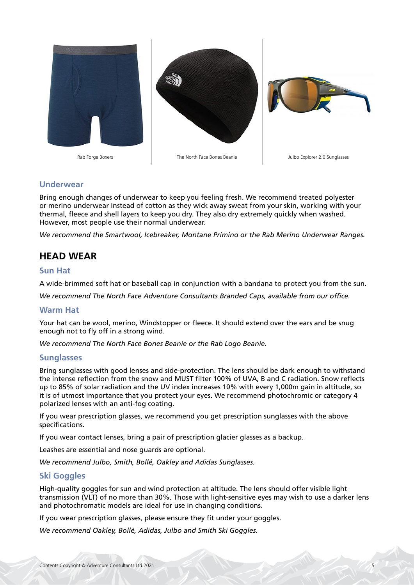

#### **Underwear**

Bring enough changes of underwear to keep you feeling fresh. We recommend treated polyester or merino underwear instead of cotton as they wick away sweat from your skin, working with your thermal, fleece and shell layers to keep you dry. They also dry extremely quickly when washed. However, most people use their normal underwear.

*We recommend the Smartwool, Icebreaker, Montane Primino or the Rab Merino Underwear Ranges.*

# **HEAD WEAR**

#### **Sun Hat**

A wide-brimmed soft hat or baseball cap in conjunction with a bandana to protect you from the sun.

*We recommend The North Face Adventure Consultants Branded Caps, available from our office.*

#### **Warm Hat**

Your hat can be wool, merino, Windstopper or fleece. It should extend over the ears and be snug enough not to fly off in a strong wind.

*We recommend The North Face Bones Beanie or the Rab Logo Beanie.*

#### **Sunglasses**

Bring sunglasses with good lenses and side-protection. The lens should be dark enough to withstand the intense reflection from the snow and MUST filter 100% of UVA, B and C radiation. Snow reflects up to 85% of solar radiation and the UV index increases 10% with every 1,000m gain in altitude, so it is of utmost importance that you protect your eyes. We recommend photochromic or category 4 polarized lenses with an anti-fog coating.

If you wear prescription glasses, we recommend you get prescription sunglasses with the above specifications.

If you wear contact lenses, bring a pair of prescription glacier glasses as a backup.

Leashes are essential and nose guards are optional.

*We recommend Julbo, Smith, Bollé, Oakley and Adidas Sunglasses.*

#### **Ski Goggles**

High-quality goggles for sun and wind protection at altitude. The lens should offer visible light transmission (VLT) of no more than 30%. Those with light-sensitive eyes may wish to use a darker lens and photochromatic models are ideal for use in changing conditions.

If you wear prescription glasses, please ensure they fit under your goggles.

*We recommend Oakley, Bollé, Adidas, Julbo and Smith Ski Goggles.*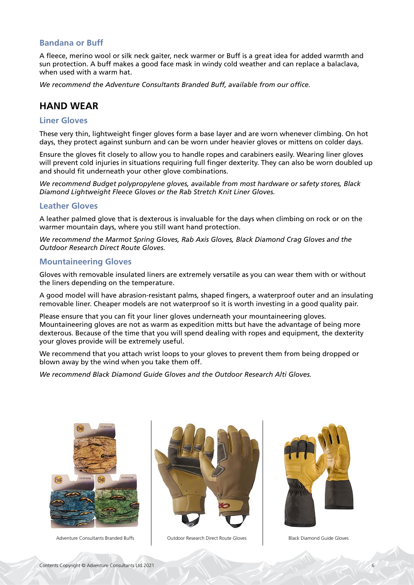#### **Bandana or Buff**

A fleece, merino wool or silk neck gaiter, neck warmer or Buff is a great idea for added warmth and sun protection. A buff makes a good face mask in windy cold weather and can replace a balaclava, when used with a warm hat.

*We recommend the Adventure Consultants Branded Buff, available from our office.*

# **HAND WEAR**

#### **Liner Gloves**

These very thin, lightweight finger gloves form a base layer and are worn whenever climbing. On hot days, they protect against sunburn and can be worn under heavier gloves or mittens on colder days.

Ensure the gloves fit closely to allow you to handle ropes and carabiners easily. Wearing liner gloves will prevent cold injuries in situations requiring full finger dexterity. They can also be worn doubled up and should fit underneath your other glove combinations.

*We recommend Budget polypropylene gloves, available from most hardware or safety stores, Black Diamond Lightweight Fleece Gloves or the Rab Stretch Knit Liner Gloves.*

#### **Leather Gloves**

A leather palmed glove that is dexterous is invaluable for the days when climbing on rock or on the warmer mountain days, where you still want hand protection.

*We recommend the Marmot Spring Gloves, Rab Axis Gloves, Black Diamond Crag Gloves and the Outdoor Research Direct Route Gloves.*

#### **Mountaineering Gloves**

Gloves with removable insulated liners are extremely versatile as you can wear them with or without the liners depending on the temperature.

A good model will have abrasion-resistant palms, shaped fingers, a waterproof outer and an insulating removable liner. Cheaper models are not waterproof so it is worth investing in a good quality pair.

Please ensure that you can fit your liner gloves underneath your mountaineering gloves. Mountaineering gloves are not as warm as expedition mitts but have the advantage of being more dexterous. Because of the time that you will spend dealing with ropes and equipment, the dexterity your gloves provide will be extremely useful.

We recommend that you attach wrist loops to your gloves to prevent them from being dropped or blown away by the wind when you take them off.

*We recommend Black Diamond Guide Gloves and the Outdoor Research Alti Gloves.*



Adventure Consultants Branded Buffs **Outdoor Research Direct Route Gloves** Black Diamond Guide Gloves



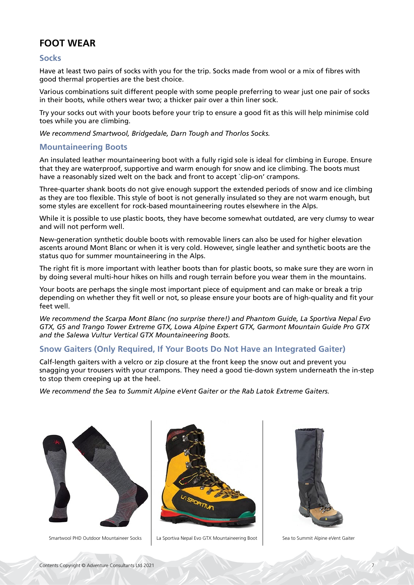# **FOOT WEAR**

#### **Socks**

Have at least two pairs of socks with you for the trip. Socks made from wool or a mix of fibres with good thermal properties are the best choice.

Various combinations suit different people with some people preferring to wear just one pair of socks in their boots, while others wear two; a thicker pair over a thin liner sock.

Try your socks out with your boots before your trip to ensure a good fit as this will help minimise cold toes while you are climbing.

*We recommend Smartwool, Bridgedale, Darn Tough and Thorlos Socks.*

#### **Mountaineering Boots**

An insulated leather mountaineering boot with a fully rigid sole is ideal for climbing in Europe. Ensure that they are waterproof, supportive and warm enough for snow and ice climbing. The boots must have a reasonably sized welt on the back and front to accept `clip-on' crampons.

Three-quarter shank boots do not give enough support the extended periods of snow and ice climbing as they are too flexible. This style of boot is not generally insulated so they are not warm enough, but some styles are excellent for rock-based mountaineering routes elsewhere in the Alps.

While it is possible to use plastic boots, they have become somewhat outdated, are very clumsy to wear and will not perform well.

New-generation synthetic double boots with removable liners can also be used for higher elevation ascents around Mont Blanc or when it is very cold. However, single leather and synthetic boots are the status quo for summer mountaineering in the Alps.

The right fit is more important with leather boots than for plastic boots, so make sure they are worn in by doing several multi-hour hikes on hills and rough terrain before you wear them in the mountains.

Your boots are perhaps the single most important piece of equipment and can make or break a trip depending on whether they fit well or not, so please ensure your boots are of high-quality and fit your feet well.

*We recommend the Scarpa Mont Blanc (no surprise there!) and Phantom Guide, La Sportiva Nepal Evo GTX, G5 and Trango Tower Extreme GTX, Lowa Alpine Expert GTX, Garmont Mountain Guide Pro GTX and the Salewa Vultur Vertical GTX Mountaineering Boots.*

### **Snow Gaiters (Only Required, If Your Boots Do Not Have an Integrated Gaiter)**

Calf-length gaiters with a velcro or zip closure at the front keep the snow out and prevent you snagging your trousers with your crampons. They need a good tie-down system underneath the in-step to stop them creeping up at the heel.

*We recommend the Sea to Summit Alpine eVent Gaiter or the Rab Latok Extreme Gaiters.*





Smartwool PHD Outdoor Mountaineer Socks | La Sportiva Nepal Evo GTX Mountaineering Boot | Sea to Summit Alpine eVent Gaiter

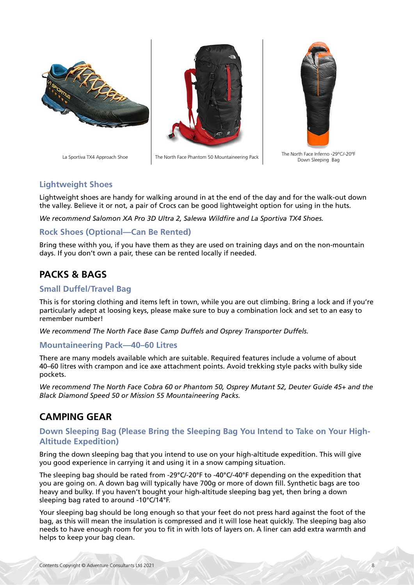





La Sportiva TX4 Approach Shoe The North Face Phantom 50 Mountaineering Pack The North Face Inferno -29°C/-20°F Down Sleeping Bag

# **Lightweight Shoes**

Lightweight shoes are handy for walking around in at the end of the day and for the walk-out down the valley. Believe it or not, a pair of Crocs can be good lightweight option for using in the huts.

*We recommend Salomon XA Pro 3D Ultra 2, Salewa Wildfire and La Sportiva TX4 Shoes.*

# **Rock Shoes (Optional—Can Be Rented)**

Bring these withh you, if you have them as they are used on training days and on the non-mountain days. If you don't own a pair, these can be rented locally if needed.

# **PACKS & BAGS**

### **Small Duffel/Travel Bag**

This is for storing clothing and items left in town, while you are out climbing. Bring a lock and if you're particularly adept at loosing keys, please make sure to buy a combination lock and set to an easy to remember number!

*We recommend The North Face Base Camp Duffels and Osprey Transporter Duffels.*

#### **Mountaineering Pack—40–60 Litres**

There are many models available which are suitable. Required features include a volume of about 40–60 litres with crampon and ice axe attachment points. Avoid trekking style packs with bulky side pockets.

*We recommend The North Face Cobra 60 or Phantom 50, Osprey Mutant 52, Deuter Guide 45+ and the Black Diamond Speed 50 or Mission 55 Mountaineering Packs.*

# **CAMPING GEAR**

#### **Down Sleeping Bag (Please Bring the Sleeping Bag You Intend to Take on Your High-Altitude Expedition)**

Bring the down sleeping bag that you intend to use on your high-altitude expedition. This will give you good experience in carrying it and using it in a snow camping situation.

The sleeping bag should be rated from -29°C/-20°F to -40°C/-40°F depending on the expedition that you are going on. A down bag will typically have 700g or more of down fill. Synthetic bags are too heavy and bulky. If you haven't bought your high-altitude sleeping bag yet, then bring a down sleeping bag rated to around -10°C/14°F.

Your sleeping bag should be long enough so that your feet do not press hard against the foot of the bag, as this will mean the insulation is compressed and it will lose heat quickly. The sleeping bag also needs to have enough room for you to fit in with lots of layers on. A liner can add extra warmth and helps to keep your bag clean.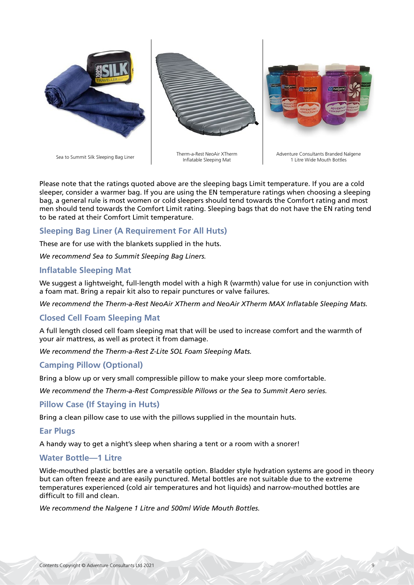

Please note that the ratings quoted above are the sleeping bags Limit temperature. If you are a cold sleeper, consider a warmer bag. If you are using the EN temperature ratings when choosing a sleeping bag, a general rule is most women or cold sleepers should tend towards the Comfort rating and most men should tend towards the Comfort Limit rating. Sleeping bags that do not have the EN rating tend to be rated at their Comfort Limit temperature.

# **Sleeping Bag Liner (A Requirement For All Huts)**

These are for use with the blankets supplied in the huts.

*We recommend Sea to Summit Sleeping Bag Liners.*

#### **Inflatable Sleeping Mat**

We suggest a lightweight, full-length model with a high R (warmth) value for use in conjunction with a foam mat. Bring a repair kit also to repair punctures or valve failures.

*We recommend the Therm-a-Rest NeoAir XTherm and NeoAir XTherm MAX Inflatable Sleeping Mats.*

#### **Closed Cell Foam Sleeping Mat**

A full length closed cell foam sleeping mat that will be used to increase comfort and the warmth of your air mattress, as well as protect it from damage.

*We recommend the Therm-a-Rest Z-Lite SOL Foam Sleeping Mats.*

#### **Camping Pillow (Optional)**

Bring a blow up or very small compressible pillow to make your sleep more comfortable.

*We recommend the Therm-a-Rest Compressible Pillows or the Sea to Summit Aero series.*

#### **Pillow Case (If Staying in Huts)**

Bring a clean pillow case to use with the pillows supplied in the mountain huts.

#### **Ear Plugs**

A handy way to get a night's sleep when sharing a tent or a room with a snorer!

#### **Water Bottle—1 Litre**

Wide-mouthed plastic bottles are a versatile option. Bladder style hydration systems are good in theory but can often freeze and are easily punctured. Metal bottles are not suitable due to the extreme temperatures experienced (cold air temperatures and hot liquids) and narrow-mouthed bottles are difficult to fill and clean.

*We recommend the Nalgene 1 Litre and 500ml Wide Mouth Bottles.*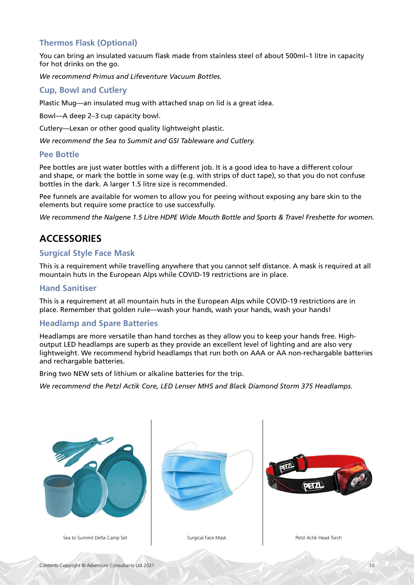# **Thermos Flask (Optional)**

You can bring an insulated vacuum flask made from stainless steel of about 500ml–1 litre in capacity for hot drinks on the go.

*We recommend Primus and Lifeventure Vacuum Bottles.*

#### **Cup, Bowl and Cutlery**

Plastic Mug—an insulated mug with attached snap on lid is a great idea.

Bowl—A deep 2–3 cup capacity bowl.

Cutlery—Lexan or other good quality lightweight plastic.

*We recommend the Sea to Summit and GSI Tableware and Cutlery.*

#### **Pee Bottle**

Pee bottles are just water bottles with a different job. It is a good idea to have a different colour and shape, or mark the bottle in some way (e.g. with strips of duct tape), so that you do not confuse bottles in the dark. A larger 1.5 litre size is recommended.

Pee funnels are available for women to allow you for peeing without exposing any bare skin to the elements but require some practice to use successfully.

*We recommend the Nalgene 1.5 Litre HDPE Wide Mouth Bottle and Sports & Travel Freshette for women.*

# **ACCESSORIES**

#### **Surgical Style Face Mask**

This is a requirement while travelling anywhere that you cannot self distance. A mask is required at all mountain huts in the European Alps while COVID-19 restrictions are in place.

#### **Hand Sanitiser**

This is a requirement at all mountain huts in the European Alps while COVID-19 restrictions are in place. Remember that golden rule—wash your hands, wash your hands, wash your hands!

#### **Headlamp and Spare Batteries**

Headlamps are more versatile than hand torches as they allow you to keep your hands free. Highoutput LED headlamps are superb as they provide an excellent level of lighting and are also very lightweight. We recommend hybrid headlamps that run both on AAA or AA non-rechargable batteries and rechargable batteries.

Bring two NEW sets of lithium or alkaline batteries for the trip.

*We recommend the Petzl Actik Core, LED Lenser MH5 and Black Diamond Storm 375 Headlamps.*

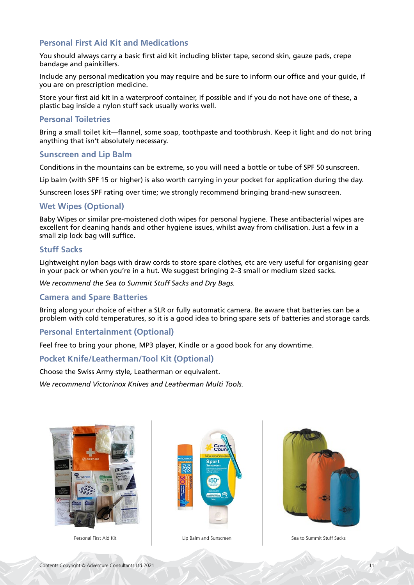### **Personal First Aid Kit and Medications**

You should always carry a basic first aid kit including blister tape, second skin, gauze pads, crepe bandage and painkillers.

Include any personal medication you may require and be sure to inform our office and your guide, if you are on prescription medicine.

Store your first aid kit in a waterproof container, if possible and if you do not have one of these, a plastic bag inside a nylon stuff sack usually works well.

#### **Personal Toiletries**

Bring a small toilet kit—flannel, some soap, toothpaste and toothbrush. Keep it light and do not bring anything that isn't absolutely necessary.

#### **Sunscreen and Lip Balm**

Conditions in the mountains can be extreme, so you will need a bottle or tube of SPF 50 sunscreen.

Lip balm (with SPF 15 or higher) is also worth carrying in your pocket for application during the day.

Sunscreen loses SPF rating over time; we strongly recommend bringing brand-new sunscreen.

#### **Wet Wipes (Optional)**

Baby Wipes or similar pre-moistened cloth wipes for personal hygiene. These antibacterial wipes are excellent for cleaning hands and other hygiene issues, whilst away from civilisation. Just a few in a small zip lock bag will suffice.

#### **Stuff Sacks**

Lightweight nylon bags with draw cords to store spare clothes, etc are very useful for organising gear in your pack or when you're in a hut. We suggest bringing 2–3 small or medium sized sacks.

*We recommend the Sea to Summit Stuff Sacks and Dry Bags.*

#### **Camera and Spare Batteries**

Bring along your choice of either a SLR or fully automatic camera. Be aware that batteries can be a problem with cold temperatures, so it is a good idea to bring spare sets of batteries and storage cards.

#### **Personal Entertainment (Optional)**

Feel free to bring your phone, MP3 player, Kindle or a good book for any downtime.

#### **Pocket Knife/Leatherman/Tool Kit (Optional)**

Choose the Swiss Army style, Leatherman or equivalent.

*We recommend Victorinox Knives and Leatherman Multi Tools.*







Personal First Aid Kit Lip Balm and Sunscreen Sea to Summit Stuff Sacks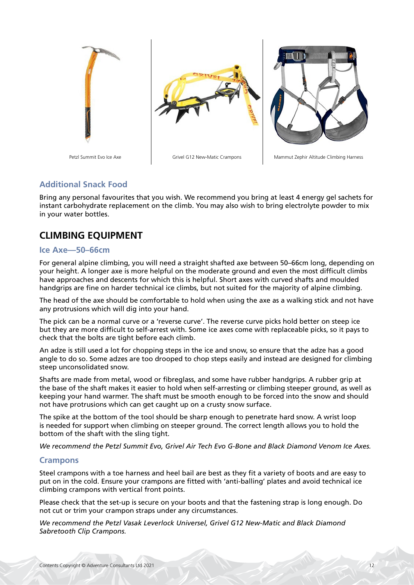

# **Additional Snack Food**

Bring any personal favourites that you wish. We recommend you bring at least 4 energy gel sachets for instant carbohydrate replacement on the climb. You may also wish to bring electrolyte powder to mix in your water bottles.

# **CLIMBING EQUIPMENT**

#### **Ice Axe—50–66cm**

For general alpine climbing, you will need a straight shafted axe between 50–66cm long, depending on your height. A longer axe is more helpful on the moderate ground and even the most difficult climbs have approaches and descents for which this is helpful. Short axes with curved shafts and moulded handgrips are fine on harder technical ice climbs, but not suited for the majority of alpine climbing.

The head of the axe should be comfortable to hold when using the axe as a walking stick and not have any protrusions which will dig into your hand.

The pick can be a normal curve or a 'reverse curve'. The reverse curve picks hold better on steep ice but they are more difficult to self-arrest with. Some ice axes come with replaceable picks, so it pays to check that the bolts are tight before each climb.

An adze is still used a lot for chopping steps in the ice and snow, so ensure that the adze has a good angle to do so. Some adzes are too drooped to chop steps easily and instead are designed for climbing steep unconsolidated snow.

Shafts are made from metal, wood or fibreglass, and some have rubber handgrips. A rubber grip at the base of the shaft makes it easier to hold when self-arresting or climbing steeper ground, as well as keeping your hand warmer. The shaft must be smooth enough to be forced into the snow and should not have protrusions which can get caught up on a crusty snow surface.

The spike at the bottom of the tool should be sharp enough to penetrate hard snow. A wrist loop is needed for support when climbing on steeper ground. The correct length allows you to hold the bottom of the shaft with the sling tight.

*We recommend the Petzl Summit Evo, Grivel Air Tech Evo G-Bone and Black Diamond Venom Ice Axes.*

#### **Crampons**

Steel crampons with a toe harness and heel bail are best as they fit a variety of boots and are easy to put on in the cold. Ensure your crampons are fitted with 'anti-balling' plates and avoid technical ice climbing crampons with vertical front points.

Please check that the set-up is secure on your boots and that the fastening strap is long enough. Do not cut or trim your crampon straps under any circumstances.

*We recommend the Petzl Vasak Leverlock Universel, Grivel G12 New-Matic and Black Diamond Sabretooth Clip Crampons.*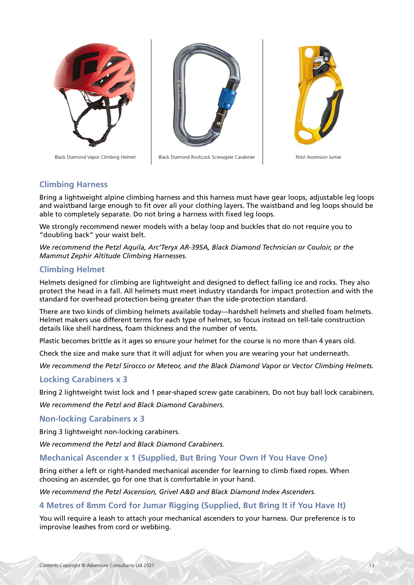



Black Diamond Vapor Climbing Helmet | Black Diamond RockLock Screwgate Carabiner | Petzl Ascension Jumar



#### **Climbing Harness**

Bring a lightweight alpine climbing harness and this harness must have gear loops, adjustable leg loops and waistband large enough to fit over all your clothing layers. The waistband and leg loops should be able to completely separate. Do not bring a harness with fixed leg loops.

We strongly recommend newer models with a belay loop and buckles that do not require you to "doubling back" your waist belt.

*We recommend the Petzl Aquila, Arc'Teryx AR-395A, Black Diamond Technician or Couloir, or the Mammut Zephir Altitude Climbing Harnesses.*

#### **Climbing Helmet**

Helmets designed for climbing are lightweight and designed to deflect falling ice and rocks. They also protect the head in a fall. All helmets must meet industry standards for impact protection and with the standard for overhead protection being greater than the side-protection standard.

There are two kinds of climbing helmets available today—hardshell helmets and shelled foam helmets. Helmet makers use different terms for each type of helmet, so focus instead on tell-tale construction details like shell hardness, foam thickness and the number of vents.

Plastic becomes brittle as it ages so ensure your helmet for the course is no more than 4 years old.

Check the size and make sure that it will adjust for when you are wearing your hat underneath.

*We recommend the Petzl Sirocco or Meteor, and the Black Diamond Vapor or Vector Climbing Helmets.*

#### **Locking Carabiners x 3**

Bring 2 lightweight twist lock and 1 pear-shaped screw gate carabiners. Do not buy ball lock carabiners.

*We recommend the Petzl and Black Diamond Carabiners.*

**Non-locking Carabiners x 3**

Bring 3 lightweight non-locking carabiners.

*We recommend the Petzl and Black Diamond Carabiners.*

#### **Mechanical Ascender x 1 (Supplied, But Bring Your Own If You Have One)**

Bring either a left or right-handed mechanical ascender for learning to climb fixed ropes. When choosing an ascender, go for one that is comfortable in your hand.

*We recommend the Petzl Ascension, Grivel A&D and Black Diamond Index Ascenders.*

#### **4 Metres of 8mm Cord for Jumar Rigging (Supplied, But Bring It if You Have It)**

You will require a leash to attach your mechanical ascenders to your harness. Our preference is to improvise leashes from cord or webbing.